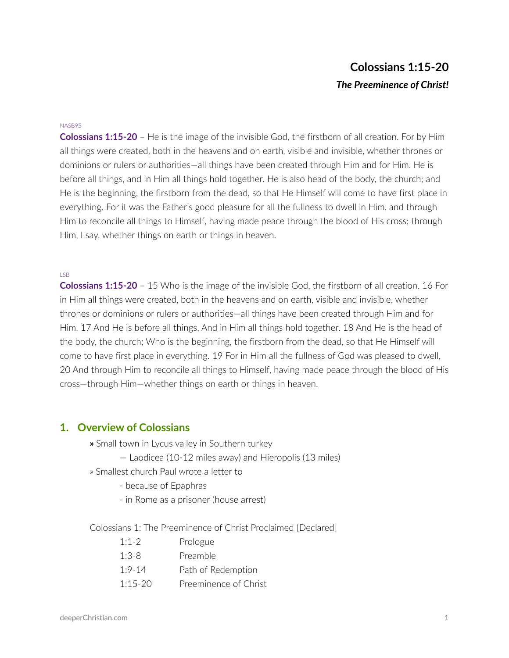# **Colossians 1:15-20** *The Preeminence of Christ!*

#### NASB95

**Colossians 1:15-20** – He is the image of the invisible God, the firstborn of all creation. For by Him all things were created, both in the heavens and on earth, visible and invisible, whether thrones or dominions or rulers or authorities—all things have been created through Him and for Him. He is before all things, and in Him all things hold together. He is also head of the body, the church; and He is the beginning, the firstborn from the dead, so that He Himself will come to have first place in everything. For it was the Father's good pleasure for all the fullness to dwell in Him, and through Him to reconcile all things to Himself, having made peace through the blood of His cross; through Him, I say, whether things on earth or things in heaven.

#### LSB

**Colossians 1:15-20** – 15 Who is the image of the invisible God, the firstborn of all creation. 16 For in Him all things were created, both in the heavens and on earth, visible and invisible, whether thrones or dominions or rulers or authorities—all things have been created through Him and for Him. 17 And He is before all things, And in Him all things hold together. 18 And He is the head of the body, the church; Who is the beginning, the firstborn from the dead, so that He Himself will come to have first place in everything. 19 For in Him all the fullness of God was pleased to dwell, 20 And through Him to reconcile all things to Himself, having made peace through the blood of His cross—through Him—whether things on earth or things in heaven.

### **1. Overview of Colossians**

- **»** Small town in Lycus valley in Southern turkey
	- Laodicea (10-12 miles away) and Hieropolis (13 miles)
- » Smallest church Paul wrote a letter to
	- because of Epaphras
	- in Rome as a prisoner (house arrest)

Colossians 1: The Preeminence of Christ Proclaimed [Declared]

| $1:1-2$    | Prologue              |
|------------|-----------------------|
| $1:3-8$    | Preamble              |
| $1.9 - 14$ | Path of Redemption    |
| $1:15-20$  | Preeminence of Christ |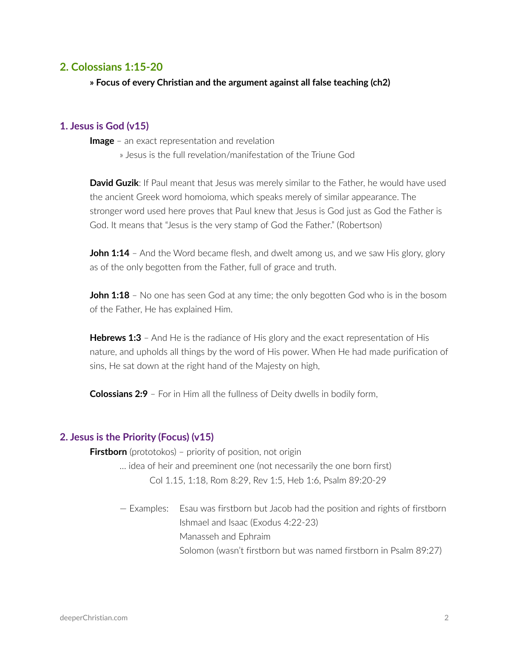### **2. Colossians 1:15-20**

**» Focus of every Christian and the argument against all false teaching (ch2)**

### **1. Jesus is God (v15)**

**Image** – an exact representation and revelation

» Jesus is the full revelation/manifestation of the Triune God

**David Guzik:** If Paul meant that Jesus was merely similar to the Father, he would have used the ancient Greek word homoioma, which speaks merely of similar appearance. The stronger word used here proves that Paul knew that Jesus is God just as God the Father is God. It means that "Jesus is the very stamp of God the Father." (Robertson)

**John 1:14** – And the Word became flesh, and dwelt among us, and we saw His glory, glory as of the only begotten from the Father, full of grace and truth.

**John 1:18** – No one has seen God at any time; the only begotten God who is in the bosom of the Father, He has explained Him.

**Hebrews 1:3** - And He is the radiance of His glory and the exact representation of His nature, and upholds all things by the word of His power. When He had made purification of sins, He sat down at the right hand of the Majesty on high,

**Colossians 2:9** – For in Him all the fullness of Deity dwells in bodily form,

#### **2. Jesus is the Priority (Focus) (v15)**

**Firstborn** (prototokos) - priority of position, not origin

- … idea of heir and preeminent one (not necessarily the one born first) Col 1.15, 1:18, Rom 8:29, Rev 1:5, Heb 1:6, Psalm 89:20-29
	- Examples: Esau was firstborn but Jacob had the position and rights of firstborn Ishmael and Isaac (Exodus 4:22-23) Manasseh and Ephraim Solomon (wasn't firstborn but was named firstborn in Psalm 89:27)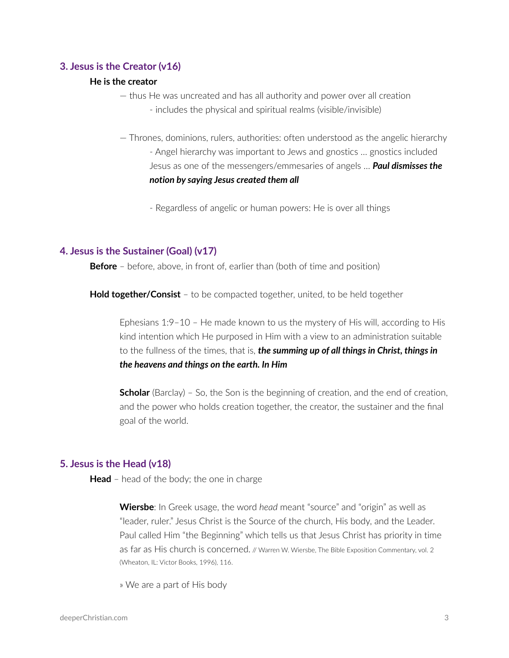### **3. Jesus is the Creator (v16)**

#### **He is the creator**

- thus He was uncreated and has all authority and power over all creation
	- includes the physical and spiritual realms (visible/invisible)
- Thrones, dominions, rulers, authorities: often understood as the angelic hierarchy - Angel hierarchy was important to Jews and gnostics … gnostics included Jesus as one of the messengers/emmesaries of angels … *Paul dismisses the notion by saying Jesus created them all*
	- Regardless of angelic or human powers: He is over all things

### **4. Jesus is the Sustainer (Goal) (v17)**

**Before** – before, above, in front of, earlier than (both of time and position)

**Hold together/Consist** – to be compacted together, united, to be held together

Ephesians 1:9–10 – He made known to us the mystery of His will, according to His kind intention which He purposed in Him with a view to an administration suitable to the fullness of the times, that is, *the summing up of all things in Christ, things in the heavens and things on the earth. In Him*

**Scholar** (Barclay) – So, the Son is the beginning of creation, and the end of creation, and the power who holds creation together, the creator, the sustainer and the final goal of the world.

#### **5. Jesus is the Head (v18)**

**Head** – head of the body; the one in charge

**Wiersbe**: In Greek usage, the word *head* meant "source" and "origin" as well as "leader, ruler." Jesus Christ is the Source of the church, His body, and the Leader. Paul called Him "the Beginning" which tells us that Jesus Christ has priority in time as far as His church is concerned. // Warren W. Wiersbe, The Bible Exposition Commentary, vol. 2 (Wheaton, IL: Victor Books, 1996), 116.

» We are a part of His body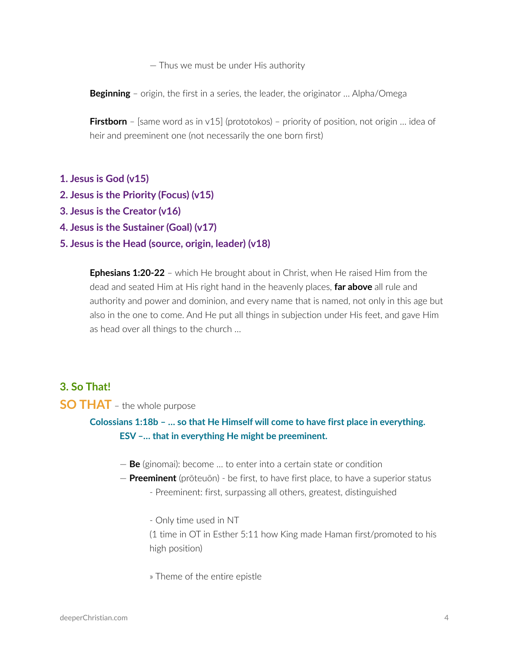— Thus we must be under His authority

**Beginning** – origin, the first in a series, the leader, the originator … Alpha/Omega

**Firstborn** – [same word as in v15] (prototokos) – priority of position, not origin ... idea of heir and preeminent one (not necessarily the one born first)

- **1. Jesus is God (v15)**
- **2. Jesus is the Priority (Focus) (v15)**
- **3. Jesus is the Creator (v16)**
- **4. Jesus is the Sustainer (Goal) (v17)**
- **5. Jesus is the Head (source, origin, leader) (v18)**

**Ephesians 1:20-22** – which He brought about in Christ, when He raised Him from the dead and seated Him at His right hand in the heavenly places, **far above** all rule and authority and power and dominion, and every name that is named, not only in this age but also in the one to come. And He put all things in subjection under His feet, and gave Him as head over all things to the church …

### **3. So That!**

### **SO THAT** – the whole purpose

**Colossians 1:18b – … so that He Himself will come to have first place in everything. ESV –… that in everything He might be preeminent.**

- **Be** (ginomai): become … to enter into a certain state or condition
- **Preeminent** (prōteuōn) be first, to have first place, to have a superior status
	- Preeminent: first, surpassing all others, greatest, distinguished
	- Only time used in NT

(1 time in OT in Esther 5:11 how King made Haman first/promoted to his high position)

» Theme of the entire epistle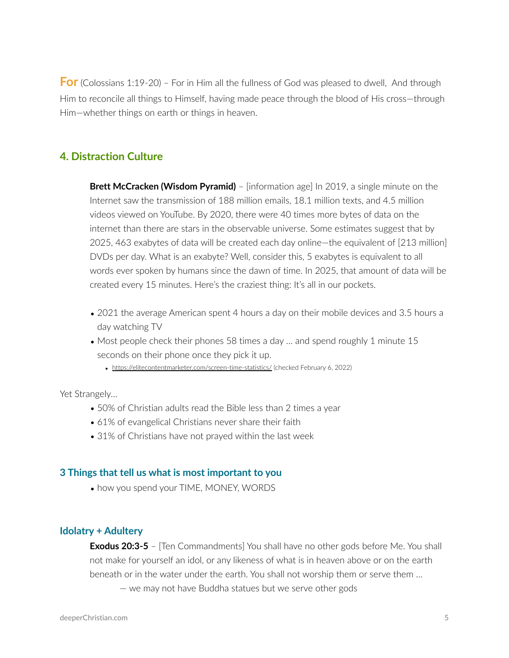**For** (Colossians 1:19-20) – For in Him all the fullness of God was pleased to dwell, And through Him to reconcile all things to Himself, having made peace through the blood of His cross—through Him—whether things on earth or things in heaven.

## **4. Distraction Culture**

**Brett McCracken (Wisdom Pyramid)** – [information age] In 2019, a single minute on the Internet saw the transmission of 188 million emails, 18.1 million texts, and 4.5 million videos viewed on YouTube. By 2020, there were 40 times more bytes of data on the internet than there are stars in the observable universe. Some estimates suggest that by 2025, 463 exabytes of data will be created each day online—the equivalent of [213 million] DVDs per day. What is an exabyte? Well, consider this, 5 exabytes is equivalent to all words ever spoken by humans since the dawn of time. In 2025, that amount of data will be created every 15 minutes. Here's the craziest thing: It's all in our pockets.

- 2021 the average American spent 4 hours a day on their mobile devices and 3.5 hours a day watching TV
- Most people check their phones 58 times a day ... and spend roughly 1 minute 15 seconds on their phone once they pick it up.
	- <https://elitecontentmarketer.com/screen-time-statistics/> (checked February 6, 2022)

Yet Strangely…

- 50% of Christian adults read the Bible less than 2 times a year
- 61% of evangelical Christians never share their faith
- 31% of Christians have not prayed within the last week

#### **3 Things that tell us what is most important to you**

• how you spend your TIME, MONEY, WORDS

#### **Idolatry + Adultery**

**Exodus 20:3-5** – [Ten Commandments] You shall have no other gods before Me. You shall not make for yourself an idol, or any likeness of what is in heaven above or on the earth beneath or in the water under the earth. You shall not worship them or serve them … — we may not have Buddha statues but we serve other gods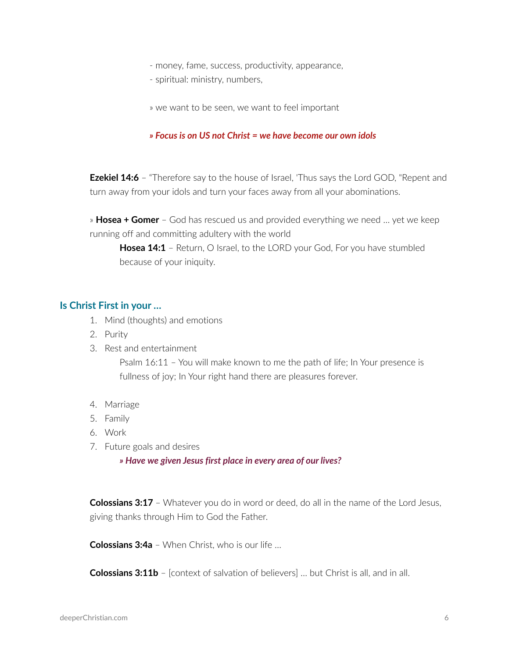- money, fame, success, productivity, appearance,
- spiritual: ministry, numbers,
- » we want to be seen, we want to feel important

#### *» Focus is on US not Christ = we have become our own idols*

**Ezekiel 14:6** - "Therefore say to the house of Israel, 'Thus says the Lord GOD, "Repent and turn away from your idols and turn your faces away from all your abominations.

» **Hosea + Gomer** – God has rescued us and provided everything we need … yet we keep running off and committing adultery with the world

**Hosea 14:1** - Return, O Israel, to the LORD your God, For you have stumbled because of your iniquity.

### **Is Christ First in your …**

- 1. Mind (thoughts) and emotions
- 2. Purity
- 3. Rest and entertainment

Psalm 16:11 – You will make known to me the path of life; In Your presence is fullness of joy; In Your right hand there are pleasures forever.

- 4. Marriage
- 5. Family
- 6. Work
- 7. Future goals and desires

#### *» Have we given Jesus first place in every area of our lives?*

**Colossians 3:17** – Whatever you do in word or deed, do all in the name of the Lord Jesus, giving thanks through Him to God the Father.

**Colossians 3:4a** – When Christ, who is our life …

**Colossians 3:11b** – [context of salvation of believers] … but Christ is all, and in all.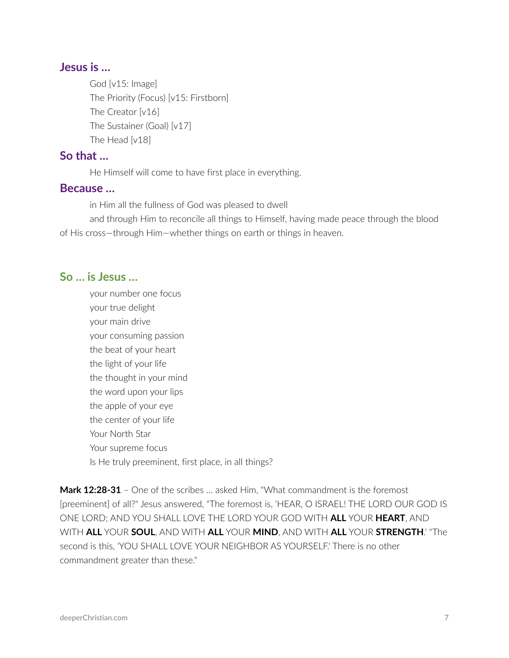## **Jesus is …**

God [v15: Image] The Priority (Focus) [v15: Firstborn] The Creator [v16] The Sustainer (Goal) [v17] The Head [v18]

### **So that …**

He Himself will come to have first place in everything.

### **Because …**

in Him all the fullness of God was pleased to dwell

and through Him to reconcile all things to Himself, having made peace through the blood of His cross—through Him—whether things on earth or things in heaven.

### **So … is Jesus …**

your number one focus your true delight your main drive your consuming passion the beat of your heart the light of your life the thought in your mind the word upon your lips the apple of your eye the center of your life Your North Star Your supreme focus Is He truly preeminent, first place, in all things?

**Mark 12:28-31** – One of the scribes … asked Him, "What commandment is the foremost [preeminent] of all?" Jesus answered, "The foremost is, 'HEAR, O ISRAEL! THE LORD OUR GOD IS ONE LORD; AND YOU SHALL LOVE THE LORD YOUR GOD WITH **ALL** YOUR **HEART**, AND WITH **ALL** YOUR **SOUL**, AND WITH **ALL** YOUR **MIND**, AND WITH **ALL** YOUR **STRENGTH**.' "The second is this, 'YOU SHALL LOVE YOUR NEIGHBOR AS YOURSELF.' There is no other commandment greater than these."